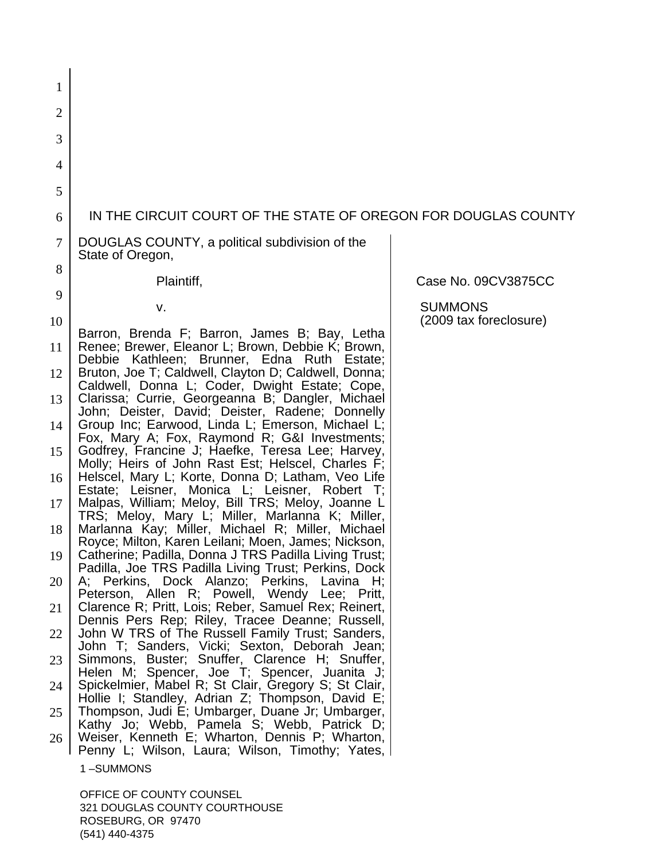| 1  |                                                                                                               |                                          |
|----|---------------------------------------------------------------------------------------------------------------|------------------------------------------|
| 2  |                                                                                                               |                                          |
| 3  |                                                                                                               |                                          |
| 4  |                                                                                                               |                                          |
| 5  |                                                                                                               |                                          |
| 6  | IN THE CIRCUIT COURT OF THE STATE OF OREGON FOR DOUGLAS COUNTY                                                |                                          |
| 7  | DOUGLAS COUNTY, a political subdivision of the<br>State of Oregon,                                            |                                          |
| 8  | Plaintiff,                                                                                                    | Case No. 09CV3875CC                      |
| 9  |                                                                                                               |                                          |
| 10 | v.                                                                                                            | <b>SUMMONS</b><br>(2009 tax foreclosure) |
| 11 | Barron, Brenda F; Barron, James B; Bay, Letha<br>Renee; Brewer, Eleanor L; Brown, Debbie K; Brown,            |                                          |
| 12 | Debbie Kathleen; Brunner, Edna Ruth<br>Estate:<br>Bruton, Joe T; Caldwell, Clayton D; Caldwell, Donna;        |                                          |
| 13 | Caldwell, Donna L; Coder, Dwight Estate; Cope,<br>Clarissa; Currie, Georgeanna B; Dangler, Michael            |                                          |
| 14 | John; Deister, David; Deister, Radene; Donnelly<br>Group Inc; Earwood, Linda L; Emerson, Michael L;           |                                          |
| 15 | Fox, Mary A; Fox, Raymond R; G&I Investments;<br>Godfrey, Francine J; Haefke, Teresa Lee; Harvey,             |                                          |
| 16 | Molly; Heirs of John Rast Est; Helscel, Charles F;<br>Helscel, Mary L; Korte, Donna D; Latham, Veo Life       |                                          |
| 17 | Estate; Leisner, Monica L; Leisner, Robert T;<br>Malpas, William; Meloy, Bill TRS; Meloy, Joanne L            |                                          |
|    | TRS; Meloy, Mary L; Miller, Marlanna K; Miller,                                                               |                                          |
| 18 | Marlanna Kay; Miller, Michael R; Miller, Michael<br>Royce; Milton, Karen Leilani; Moen, James; Nickson,       |                                          |
| 19 | Catherine; Padilla, Donna J TRS Padilla Living Trust;<br>Padilla, Joe TRS Padilla Living Trust; Perkins, Dock |                                          |
| 20 | A; Perkins, Dock Alanzo; Perkins, Lavina H;<br>Peterson, Allen R; Powell, Wendy Lee; Pritt,                   |                                          |
| 21 | Clarence R; Pritt, Lois; Reber, Samuel Rex; Reinert,                                                          |                                          |
| 22 | Dennis Pers Rep; Riley, Tracee Deanne; Russell,<br>John W TRS of The Russell Family Trust; Sanders,           |                                          |
| 23 | John T; Sanders, Vicki; Sexton, Deborah Jean;<br>Simmons, Buster; Snuffer, Clarence H; Snuffer,               |                                          |
| 24 | Helen M; Spencer, Joe T; Spencer, Juanita J;<br>Spickelmier, Mabel R; St Clair, Gregory S; St Clair,          |                                          |
| 25 | Hollie I; Standley, Adrian Z; Thompson, David E;<br>Thompson, Judi E; Umbarger, Duane Jr; Umbarger,           |                                          |
| 26 | Kathy Jo; Webb, Pamela S; Webb, Patrick D;<br>Weiser, Kenneth E; Wharton, Dennis P; Wharton,                  |                                          |
|    | Penny L; Wilson, Laura; Wilson, Timothy; Yates,<br>1-SUMMONS                                                  |                                          |
|    | OFFICE OF COLINTY COLINSEL                                                                                    |                                          |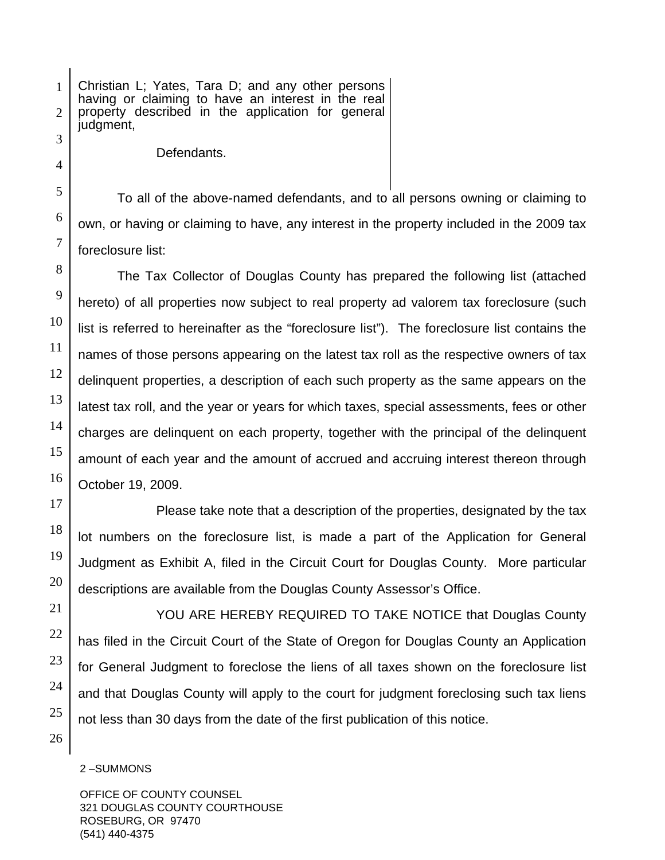1 Christian L; Yates, Tara D; and any other persons having or claiming to have an interest in the real property described in the application for general judgment,

Defendants.

To all of the above-named defendants, and to all persons owning or claiming to own, or having or claiming to have, any interest in the property included in the 2009 tax foreclosure list:

 The Tax Collector of Douglas County has prepared the following list (attached hereto) of all properties now subject to real property ad valorem tax foreclosure (such list is referred to hereinafter as the "foreclosure list"). The foreclosure list contains the names of those persons appearing on the latest tax roll as the respective owners of tax delinquent properties, a description of each such property as the same appears on the latest tax roll, and the year or years for which taxes, special assessments, fees or other charges are delinquent on each property, together with the principal of the delinquent amount of each year and the amount of accrued and accruing interest thereon through October 19, 2009.

 Please take note that a description of the properties, designated by the tax lot numbers on the foreclosure list, is made a part of the Application for General Judgment as Exhibit A, filed in the Circuit Court for Douglas County. More particular descriptions are available from the Douglas County Assessor's Office.

 YOU ARE HEREBY REQUIRED TO TAKE NOTICE that Douglas County has filed in the Circuit Court of the State of Oregon for Douglas County an Application for General Judgment to foreclose the liens of all taxes shown on the foreclosure list and that Douglas County will apply to the court for judgment foreclosing such tax liens not less than 30 days from the date of the first publication of this notice.

2 –SUMMONS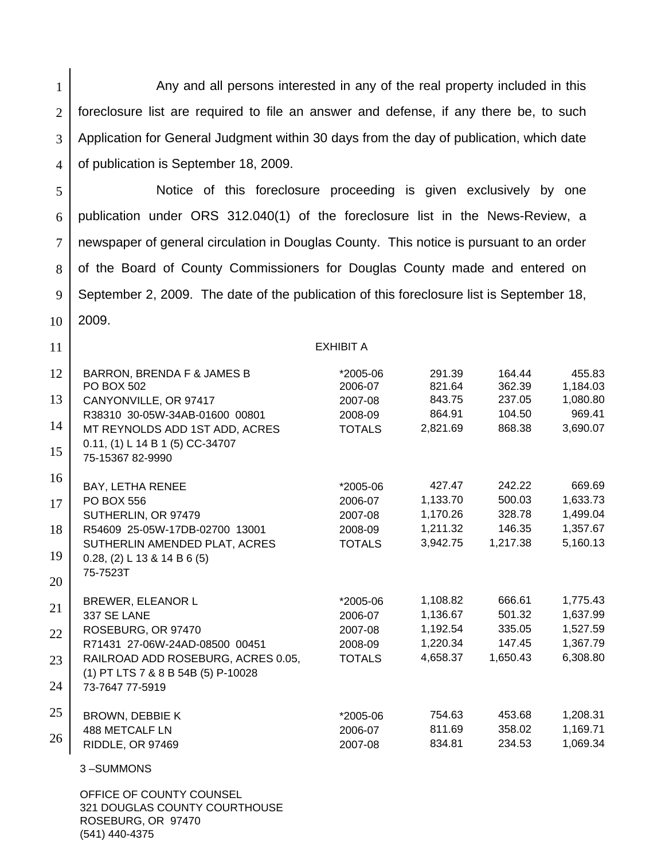1 2 3 4 Any and all persons interested in any of the real property included in this foreclosure list are required to file an answer and defense, if any there be, to such Application for General Judgment within 30 days from the day of publication, which date of publication is September 18, 2009.

5 6 7 8 9 10 Notice of this foreclosure proceeding is given exclusively by one publication under ORS 312.040(1) of the foreclosure list in the News-Review, a newspaper of general circulation in Douglas County. This notice is pursuant to an order of the Board of County Commissioners for Douglas County made and entered on September 2, 2009. The date of the publication of this foreclosure list is September 18, 2009.

EXHIBIT A

| 12 | <b>BARRON, BRENDA F &amp; JAMES B</b> | *2005-06      | 291.39   | 164.44   | 455.83   |
|----|---------------------------------------|---------------|----------|----------|----------|
|    | <b>PO BOX 502</b>                     | 2006-07       | 821.64   | 362.39   | 1,184.03 |
| 13 | CANYONVILLE, OR 97417                 | 2007-08       | 843.75   | 237.05   | 1,080.80 |
|    | R38310 30-05W-34AB-01600 00801        | 2008-09       | 864.91   | 104.50   | 969.41   |
| 14 | MT REYNOLDS ADD 1ST ADD, ACRES        | <b>TOTALS</b> | 2,821.69 | 868.38   | 3,690.07 |
| 15 | 0.11, (1) L 14 B 1 (5) CC-34707       |               |          |          |          |
|    | 75-15367 82-9990                      |               |          |          |          |
| 16 |                                       |               |          |          |          |
|    | BAY, LETHA RENEE                      | *2005-06      | 427.47   | 242.22   | 669.69   |
| 17 | <b>PO BOX 556</b>                     | 2006-07       | 1,133.70 | 500.03   | 1,633.73 |
|    | SUTHERLIN, OR 97479                   | 2007-08       | 1,170.26 | 328.78   | 1,499.04 |
| 18 | R54609 25-05W-17DB-02700 13001        | 2008-09       | 1,211.32 | 146.35   | 1,357.67 |
|    | SUTHERLIN AMENDED PLAT, ACRES         | <b>TOTALS</b> | 3,942.75 | 1,217.38 | 5,160.13 |
| 19 | $0.28$ , (2) L 13 & 14 B 6 (5)        |               |          |          |          |
|    | 75-7523T                              |               |          |          |          |
| 20 |                                       |               |          |          |          |
| 21 | <b>BREWER, ELEANOR L</b>              | *2005-06      | 1,108.82 | 666.61   | 1,775.43 |
|    | 337 SE LANE                           | 2006-07       | 1,136.67 | 501.32   | 1,637.99 |
| 22 | ROSEBURG, OR 97470                    | 2007-08       | 1,192.54 | 335.05   | 1,527.59 |
|    | R71431 27-06W-24AD-08500 00451        | 2008-09       | 1,220.34 | 147.45   | 1,367.79 |
| 23 | RAILROAD ADD ROSEBURG, ACRES 0.05,    | <b>TOTALS</b> | 4,658.37 | 1,650.43 | 6,308.80 |
|    | (1) PT LTS 7 & 8 B 54B (5) P-10028    |               |          |          |          |
| 24 | 73-7647 77-5919                       |               |          |          |          |
|    |                                       |               |          |          |          |
| 25 | <b>BROWN, DEBBIE K</b>                | *2005-06      | 754.63   | 453.68   | 1,208.31 |
| 26 | 488 METCALF LN                        | 2006-07       | 811.69   | 358.02   | 1,169.71 |
|    | RIDDLE, OR 97469                      | 2007-08       | 834.81   | 234.53   | 1,069.34 |
|    | 3-SUMMONS                             |               |          |          |          |
|    |                                       |               |          |          |          |
|    | OFFICE OF COUNTY COUNSEL              |               |          |          |          |

321 DOUGLAS COUNTY COURTHOUSE ROSEBURG, OR 97470 (541) 440-4375

11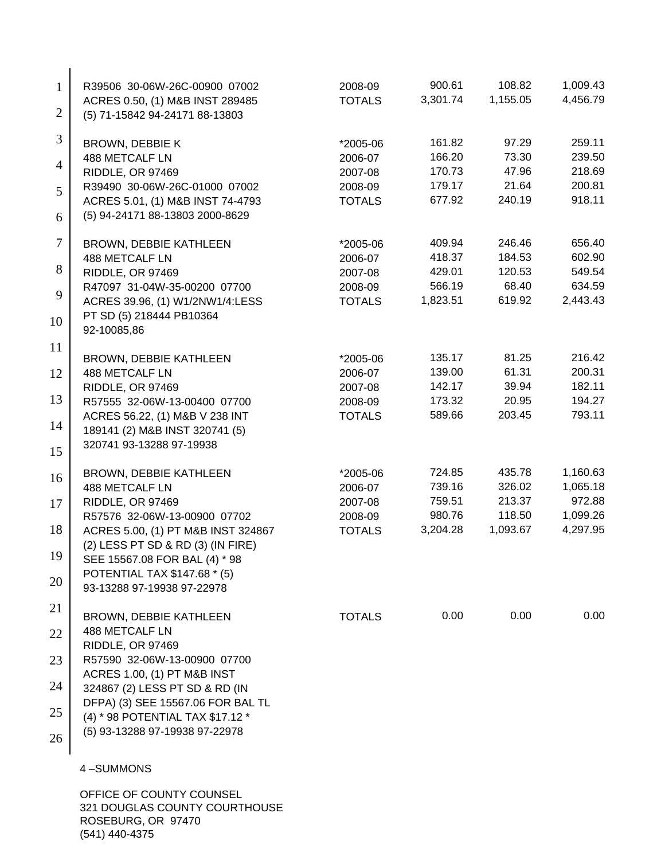| $\mathbf{1}$   | R39506 30-06W-26C-00900 07002<br>ACRES 0.50, (1) M&B INST 289485      | 2008-09<br><b>TOTALS</b> | 900.61<br>3,301.74 | 108.82<br>1,155.05 | 1,009.43<br>4,456.79 |
|----------------|-----------------------------------------------------------------------|--------------------------|--------------------|--------------------|----------------------|
| $\overline{2}$ | (5) 71-15842 94-24171 88-13803                                        |                          |                    |                    |                      |
| 3              | <b>BROWN, DEBBIE K</b>                                                | *2005-06                 | 161.82             | 97.29              | 259.11               |
| $\overline{4}$ | <b>488 METCALF LN</b>                                                 | 2006-07                  | 166.20             | 73.30              | 239.50               |
|                | RIDDLE, OR 97469                                                      | 2007-08                  | 170.73             | 47.96              | 218.69               |
| 5              | R39490 30-06W-26C-01000 07002                                         | 2008-09                  | 179.17             | 21.64              | 200.81               |
| 6              | ACRES 5.01, (1) M&B INST 74-4793<br>(5) 94-24171 88-13803 2000-8629   | <b>TOTALS</b>            | 677.92             | 240.19             | 918.11               |
| 7              | BROWN, DEBBIE KATHLEEN                                                | *2005-06                 | 409.94             | 246.46             | 656.40               |
|                | 488 METCALF LN                                                        | 2006-07                  | 418.37             | 184.53             | 602.90               |
| 8              | RIDDLE, OR 97469                                                      | 2007-08                  | 429.01             | 120.53             | 549.54               |
| 9              | R47097 31-04W-35-00200 07700                                          | 2008-09                  | 566.19             | 68.40              | 634.59               |
|                | ACRES 39.96, (1) W1/2NW1/4:LESS                                       | <b>TOTALS</b>            | 1,823.51           | 619.92             | 2,443.43             |
| 10             | PT SD (5) 218444 PB10364<br>92-10085,86                               |                          |                    |                    |                      |
| 11             | BROWN, DEBBIE KATHLEEN                                                | *2005-06                 | 135.17             | 81.25              | 216.42               |
| 12             | 488 METCALF LN                                                        | 2006-07                  | 139.00             | 61.31              | 200.31               |
|                | RIDDLE, OR 97469                                                      | 2007-08                  | 142.17             | 39.94              | 182.11               |
| 13             | R57555 32-06W-13-00400 07700                                          | 2008-09                  | 173.32             | 20.95              | 194.27               |
|                | ACRES 56.22, (1) M&B V 238 INT                                        | <b>TOTALS</b>            | 589.66             | 203.45             | 793.11               |
| 14             | 189141 (2) M&B INST 320741 (5)                                        |                          |                    |                    |                      |
| 15             | 320741 93-13288 97-19938                                              |                          |                    |                    |                      |
| 16             | <b>BROWN, DEBBIE KATHLEEN</b>                                         | *2005-06                 | 724.85             | 435.78             | 1,160.63             |
|                | 488 METCALF LN                                                        | 2006-07                  | 739.16             | 326.02             | 1,065.18             |
| 17             | RIDDLE, OR 97469                                                      | 2007-08                  | 759.51             | 213.37             | 972.88               |
|                | R57576 32-06W-13-00900 07702                                          | 2008-09                  | 980.76             | 118.50             | 1,099.26             |
| 18             | ACRES 5.00, (1) PT M&B INST 324867                                    | <b>TOTALS</b>            | 3,204.28           | 1,093.67           | 4,297.95             |
| 19             | (2) LESS PT SD & RD (3) (IN FIRE)                                     |                          |                    |                    |                      |
|                | SEE 15567.08 FOR BAL (4) * 98<br>POTENTIAL TAX \$147.68 * (5)         |                          |                    |                    |                      |
| 20             | 93-13288 97-19938 97-22978                                            |                          |                    |                    |                      |
| 21             | <b>BROWN, DEBBIE KATHLEEN</b>                                         | <b>TOTALS</b>            | 0.00               | 0.00               | 0.00                 |
| 22             | 488 METCALF LN<br>RIDDLE, OR 97469                                    |                          |                    |                    |                      |
| 23             | R57590 32-06W-13-00900 07700                                          |                          |                    |                    |                      |
| 24             | ACRES 1.00, (1) PT M&B INST<br>324867 (2) LESS PT SD & RD (IN         |                          |                    |                    |                      |
| 25             | DFPA) (3) SEE 15567.06 FOR BAL TL<br>(4) * 98 POTENTIAL TAX \$17.12 * |                          |                    |                    |                      |
|                | (5) 93-13288 97-19938 97-22978                                        |                          |                    |                    |                      |
| 26             |                                                                       |                          |                    |                    |                      |
|                | 4-SUMMONS                                                             |                          |                    |                    |                      |
|                | OFFICE OF COUNTY COUNSEL                                              |                          |                    |                    |                      |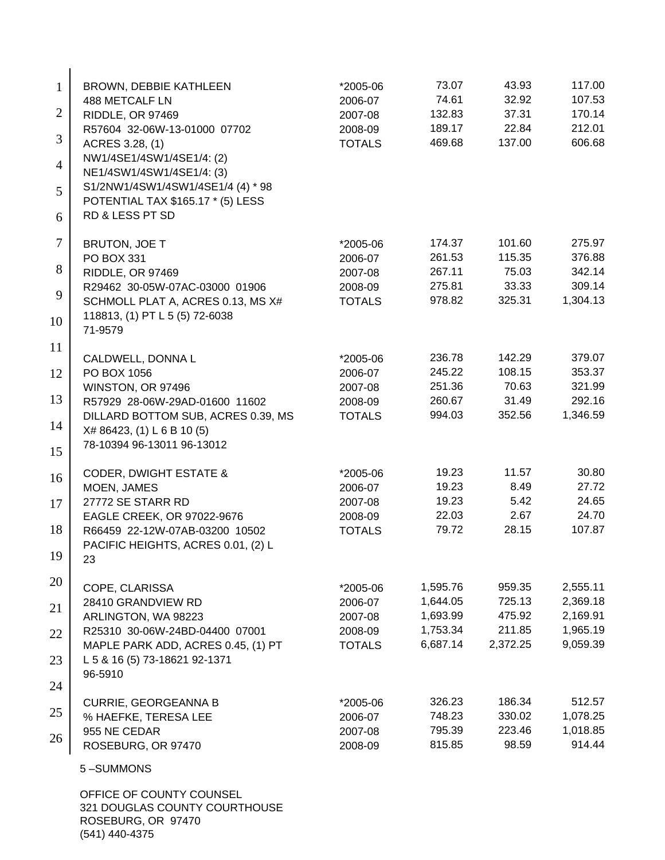| $\mathbf{1}$   | <b>BROWN, DEBBIE KATHLEEN</b>                                          | *2005-06                 | 73.07                | 43.93              | 117.00               |
|----------------|------------------------------------------------------------------------|--------------------------|----------------------|--------------------|----------------------|
|                | 488 METCALF LN                                                         | 2006-07                  | 74.61                | 32.92              | 107.53               |
| $\overline{2}$ | RIDDLE, OR 97469                                                       | 2007-08                  | 132.83               | 37.31              | 170.14               |
| 3              | R57604 32-06W-13-01000 07702<br>ACRES 3.28, (1)                        | 2008-09<br><b>TOTALS</b> | 189.17<br>469.68     | 22.84<br>137.00    | 212.01<br>606.68     |
| $\overline{4}$ | NW1/4SE1/4SW1/4SE1/4: (2)<br>NE1/4SW1/4SW1/4SE1/4: (3)                 |                          |                      |                    |                      |
| 5              | S1/2NW1/4SW1/4SW1/4SE1/4 (4) * 98<br>POTENTIAL TAX \$165.17 * (5) LESS |                          |                      |                    |                      |
| 6              | RD & LESS PT SD                                                        |                          |                      |                    |                      |
| 7              | <b>BRUTON, JOE T</b>                                                   | *2005-06                 | 174.37               | 101.60             | 275.97               |
| 8              | PO BOX 331<br>RIDDLE, OR 97469                                         | 2006-07<br>2007-08       | 261.53<br>267.11     | 115.35<br>75.03    | 376.88<br>342.14     |
|                | R29462 30-05W-07AC-03000 01906                                         | 2008-09                  | 275.81               | 33.33              | 309.14               |
| 9              | SCHMOLL PLAT A, ACRES 0.13, MS X#                                      | <b>TOTALS</b>            | 978.82               | 325.31             | 1,304.13             |
| 10             | 118813, (1) PT L 5 (5) 72-6038<br>71-9579                              |                          |                      |                    |                      |
| 11             | CALDWELL, DONNA L                                                      | *2005-06                 | 236.78               | 142.29             | 379.07               |
| 12             | PO BOX 1056                                                            | 2006-07                  | 245.22               | 108.15             | 353.37               |
|                | WINSTON, OR 97496                                                      | 2007-08                  | 251.36               | 70.63              | 321.99               |
| 13             | R57929 28-06W-29AD-01600 11602                                         | 2008-09                  | 260.67               | 31.49              | 292.16               |
| 14             | DILLARD BOTTOM SUB, ACRES 0.39, MS<br>X# 86423, (1) L 6 B 10 (5)       | <b>TOTALS</b>            | 994.03               | 352.56             | 1,346.59             |
| 15             | 78-10394 96-13011 96-13012                                             |                          |                      |                    |                      |
| 16             | <b>CODER, DWIGHT ESTATE &amp;</b>                                      | *2005-06                 | 19.23                | 11.57              | 30.80                |
|                | MOEN, JAMES                                                            | 2006-07                  | 19.23                | 8.49               | 27.72                |
| 17             | 27772 SE STARR RD                                                      | 2007-08                  | 19.23<br>22.03       | 5.42<br>2.67       | 24.65<br>24.70       |
| 18             | EAGLE CREEK, OR 97022-9676<br>R66459 22-12W-07AB-03200 10502           | 2008-09<br><b>TOTALS</b> | 79.72                | 28.15              | 107.87               |
|                | PACIFIC HEIGHTS, ACRES 0.01, (2) L                                     |                          |                      |                    |                      |
| 19             | 23                                                                     |                          |                      |                    |                      |
| 20             | COPE, CLARISSA                                                         | *2005-06                 | 1,595.76             | 959.35             | 2,555.11             |
| 21             | 28410 GRANDVIEW RD                                                     | 2006-07                  | 1,644.05             | 725.13             | 2,369.18             |
|                | ARLINGTON, WA 98223                                                    | 2007-08                  | 1,693.99             | 475.92             | 2,169.91             |
| 22             | R25310 30-06W-24BD-04400 07001<br>MAPLE PARK ADD, ACRES 0.45, (1) PT   | 2008-09<br><b>TOTALS</b> | 1,753.34<br>6,687.14 | 211.85<br>2,372.25 | 1,965.19<br>9,059.39 |
| 23             | L 5 & 16 (5) 73-18621 92-1371                                          |                          |                      |                    |                      |
| 24             | 96-5910                                                                |                          |                      |                    |                      |
| 25             | <b>CURRIE, GEORGEANNA B</b>                                            | *2005-06                 | 326.23<br>748.23     | 186.34<br>330.02   | 512.57               |
|                | % HAEFKE, TERESA LEE<br>955 NE CEDAR                                   | 2006-07<br>2007-08       | 795.39               | 223.46             | 1,078.25<br>1,018.85 |
| 26             | ROSEBURG, OR 97470                                                     | 2008-09                  | 815.85               | 98.59              | 914.44               |
|                | 5-SUMMONS                                                              |                          |                      |                    |                      |
|                | OFFICE OF COUNTY COUNSEL<br>321 DOLIGLAS COLINTY COLIRTHOLISE          |                          |                      |                    |                      |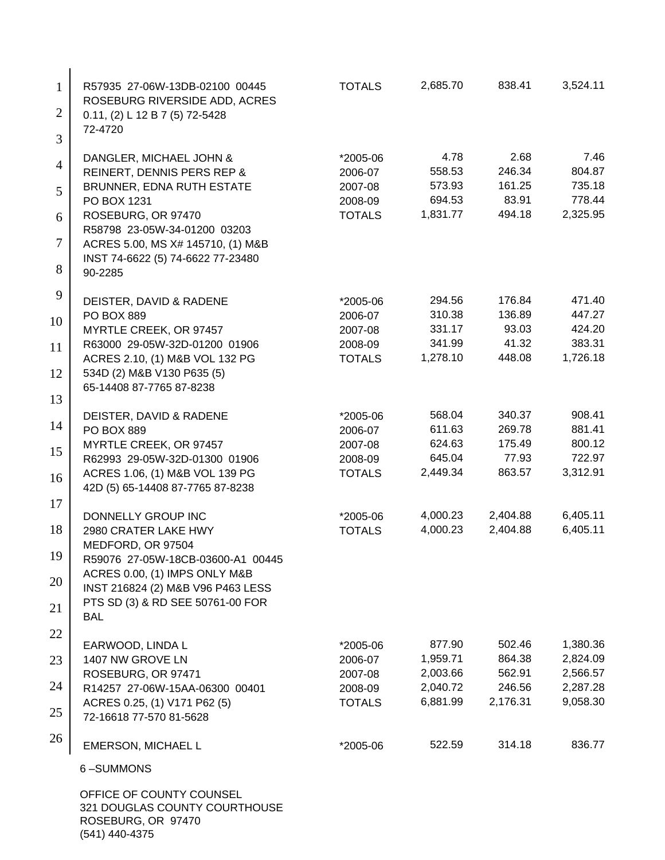| $\mathbf{1}$   | R57935 27-06W-13DB-02100 00445<br>ROSEBURG RIVERSIDE ADD, ACRES    | <b>TOTALS</b>            | 2,685.70           | 838.41          | 3,524.11         |
|----------------|--------------------------------------------------------------------|--------------------------|--------------------|-----------------|------------------|
| $\overline{2}$ | 0.11, (2) L 12 B 7 (5) 72-5428<br>72-4720                          |                          |                    |                 |                  |
| 3              |                                                                    |                          |                    |                 |                  |
| 4              | DANGLER, MICHAEL JOHN &<br>REINERT, DENNIS PERS REP &              | *2005-06<br>2006-07      | 4.78<br>558.53     | 2.68<br>246.34  | 7.46<br>804.87   |
| 5              | BRUNNER, EDNA RUTH ESTATE                                          | 2007-08                  | 573.93             | 161.25          | 735.18           |
|                | PO BOX 1231                                                        | 2008-09                  | 694.53             | 83.91           | 778.44           |
| 6              | ROSEBURG, OR 97470                                                 | <b>TOTALS</b>            | 1,831.77           | 494.18          | 2,325.95         |
| 7              | R58798 23-05W-34-01200 03203<br>ACRES 5.00, MS X# 145710, (1) M&B  |                          |                    |                 |                  |
|                | INST 74-6622 (5) 74-6622 77-23480                                  |                          |                    |                 |                  |
| 8              | 90-2285                                                            |                          |                    |                 |                  |
| 9              | DEISTER, DAVID & RADENE                                            | *2005-06                 | 294.56             | 176.84          | 471.40           |
| 10             | <b>PO BOX 889</b>                                                  | 2006-07                  | 310.38             | 136.89          | 447.27           |
|                | MYRTLE CREEK, OR 97457                                             | 2007-08                  | 331.17             | 93.03<br>41.32  | 424.20<br>383.31 |
| 11             | R63000 29-05W-32D-01200 01906<br>ACRES 2.10, (1) M&B VOL 132 PG    | 2008-09<br><b>TOTALS</b> | 341.99<br>1,278.10 | 448.08          | 1,726.18         |
| 12             | 534D (2) M&B V130 P635 (5)                                         |                          |                    |                 |                  |
| 13             | 65-14408 87-7765 87-8238                                           |                          |                    |                 |                  |
|                | DEISTER, DAVID & RADENE                                            | *2005-06                 | 568.04             | 340.37          | 908.41           |
| 14             | <b>PO BOX 889</b>                                                  | 2006-07                  | 611.63             | 269.78          | 881.41           |
| 15             | MYRTLE CREEK, OR 97457<br>R62993 29-05W-32D-01300 01906            | 2007-08<br>2008-09       | 624.63<br>645.04   | 175.49<br>77.93 | 800.12<br>722.97 |
|                | ACRES 1.06, (1) M&B VOL 139 PG                                     | <b>TOTALS</b>            | 2,449.34           | 863.57          | 3,312.91         |
| 16             | 42D (5) 65-14408 87-7765 87-8238                                   |                          |                    |                 |                  |
| 17             | DONNELLY GROUP INC                                                 | *2005-06                 | 4,000.23           | 2,404.88        | 6,405.11         |
| 18             | 2980 CRATER LAKE HWY                                               | <b>TOTALS</b>            | 4,000.23           | 2,404.88        | 6,405.11         |
|                | MEDFORD, OR 97504                                                  |                          |                    |                 |                  |
| 19             | R59076 27-05W-18CB-03600-A1 00445                                  |                          |                    |                 |                  |
| 20             | ACRES 0.00, (1) IMPS ONLY M&B<br>INST 216824 (2) M&B V96 P463 LESS |                          |                    |                 |                  |
|                | PTS SD (3) & RD SEE 50761-00 FOR                                   |                          |                    |                 |                  |
| 21             | <b>BAL</b>                                                         |                          |                    |                 |                  |
| 22             | EARWOOD, LINDA L                                                   | *2005-06                 | 877.90             | 502.46          | 1,380.36         |
| 23             | 1407 NW GROVE LN                                                   | 2006-07                  | 1,959.71           | 864.38          | 2,824.09         |
|                | ROSEBURG, OR 97471                                                 | 2007-08                  | 2,003.66           | 562.91          | 2,566.57         |
| 24             | R14257 27-06W-15AA-06300 00401                                     | 2008-09                  | 2,040.72           | 246.56          | 2,287.28         |
| 25             | ACRES 0.25, (1) V171 P62 (5)<br>72-16618 77-570 81-5628            | <b>TOTALS</b>            | 6,881.99           | 2,176.31        | 9,058.30         |
| 26             | EMERSON, MICHAEL L                                                 | *2005-06                 | 522.59             | 314.18          | 836.77           |
|                | 6-SUMMONS                                                          |                          |                    |                 |                  |
|                | OFFICE OF COUNTY COUNSEL                                           |                          |                    |                 |                  |
|                |                                                                    |                          |                    |                 |                  |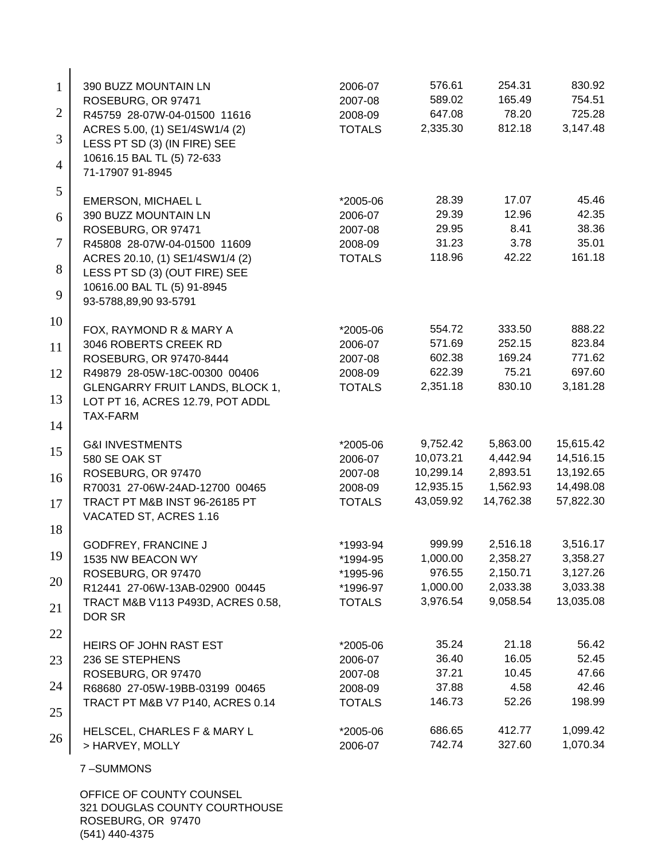| $\mathbf{1}$   | 390 BUZZ MOUNTAIN LN                                             | 2006-07       | 576.61          | 254.31        | 830.92          |
|----------------|------------------------------------------------------------------|---------------|-----------------|---------------|-----------------|
|                | ROSEBURG, OR 97471                                               | 2007-08       | 589.02          | 165.49        | 754.51          |
| 2              | R45759 28-07W-04-01500 11616                                     | 2008-09       | 647.08          | 78.20         | 725.28          |
| 3              | ACRES 5.00, (1) SE1/4SW1/4 (2)<br>LESS PT SD (3) (IN FIRE) SEE   | <b>TOTALS</b> | 2,335.30        | 812.18        | 3,147.48        |
| $\overline{4}$ | 10616.15 BAL TL (5) 72-633<br>71-17907 91-8945                   |               |                 |               |                 |
| 5              | EMERSON, MICHAEL L                                               | *2005-06      | 28.39           | 17.07         | 45.46           |
| 6              | 390 BUZZ MOUNTAIN LN                                             | 2006-07       | 29.39           | 12.96         | 42.35           |
|                | ROSEBURG, OR 97471                                               | 2007-08       | 29.95           | 8.41          | 38.36           |
| 7              | R45808 28-07W-04-01500 11609                                     | 2008-09       | 31.23<br>118.96 | 3.78<br>42.22 | 35.01<br>161.18 |
| 8              | ACRES 20.10, (1) SE1/4SW1/4 (2)<br>LESS PT SD (3) (OUT FIRE) SEE | <b>TOTALS</b> |                 |               |                 |
|                | 10616.00 BAL TL (5) 91-8945                                      |               |                 |               |                 |
| 9              | 93-5788,89,90 93-5791                                            |               |                 |               |                 |
| 10             | FOX, RAYMOND R & MARY A                                          | *2005-06      | 554.72          | 333.50        | 888.22          |
| 11             | 3046 ROBERTS CREEK RD                                            | 2006-07       | 571.69          | 252.15        | 823.84          |
|                | ROSEBURG, OR 97470-8444                                          | 2007-08       | 602.38          | 169.24        | 771.62          |
| 12             | R49879 28-05W-18C-00300 00406                                    | 2008-09       | 622.39          | 75.21         | 697.60          |
| 13             | GLENGARRY FRUIT LANDS, BLOCK 1,                                  | <b>TOTALS</b> | 2,351.18        | 830.10        | 3,181.28        |
|                | LOT PT 16, ACRES 12.79, POT ADDL<br><b>TAX-FARM</b>              |               |                 |               |                 |
| 14             |                                                                  |               |                 |               |                 |
|                | <b>G&amp;I INVESTMENTS</b>                                       | *2005-06      | 9,752.42        | 5,863.00      | 15,615.42       |
| 15             | 580 SE OAK ST                                                    | 2006-07       | 10,073.21       | 4,442.94      | 14,516.15       |
| 16             | ROSEBURG, OR 97470                                               | 2007-08       | 10,299.14       | 2,893.51      | 13,192.65       |
|                | R70031 27-06W-24AD-12700 00465                                   | 2008-09       | 12,935.15       | 1,562.93      | 14,498.08       |
| 17             | TRACT PT M&B INST 96-26185 PT                                    | <b>TOTALS</b> | 43,059.92       | 14,762.38     | 57,822.30       |
| 18             | VACATED ST, ACRES 1.16                                           |               |                 |               |                 |
|                | <b>GODFREY, FRANCINE J</b>                                       | *1993-94      | 999.99          | 2,516.18      | 3,516.17        |
| 19             | 1535 NW BEACON WY                                                | *1994-95      | 1,000.00        | 2,358.27      | 3,358.27        |
| 20             | ROSEBURG, OR 97470                                               | *1995-96      | 976.55          | 2,150.71      | 3,127.26        |
|                | R12441 27-06W-13AB-02900 00445                                   | *1996-97      | 1,000.00        | 2,033.38      | 3,033.38        |
| 21             | TRACT M&B V113 P493D, ACRES 0.58,<br>DOR SR                      | <b>TOTALS</b> | 3,976.54        | 9,058.54      | 13,035.08       |
| 22             | HEIRS OF JOHN RAST EST                                           | *2005-06      | 35.24           | 21.18         | 56.42           |
| 23             | 236 SE STEPHENS                                                  | 2006-07       | 36.40           | 16.05         | 52.45           |
|                | ROSEBURG, OR 97470                                               | 2007-08       | 37.21           | 10.45         | 47.66           |
| 24             | R68680 27-05W-19BB-03199 00465                                   | 2008-09       | 37.88           | 4.58          | 42.46           |
| 25             | TRACT PT M&B V7 P140, ACRES 0.14                                 | <b>TOTALS</b> | 146.73          | 52.26         | 198.99          |
|                | HELSCEL, CHARLES F & MARY L                                      | *2005-06      | 686.65          | 412.77        | 1,099.42        |
| 26             | > HARVEY, MOLLY                                                  | 2006-07       | 742.74          | 327.60        | 1,070.34        |
|                |                                                                  |               |                 |               |                 |
|                | 7-SUMMONS                                                        |               |                 |               |                 |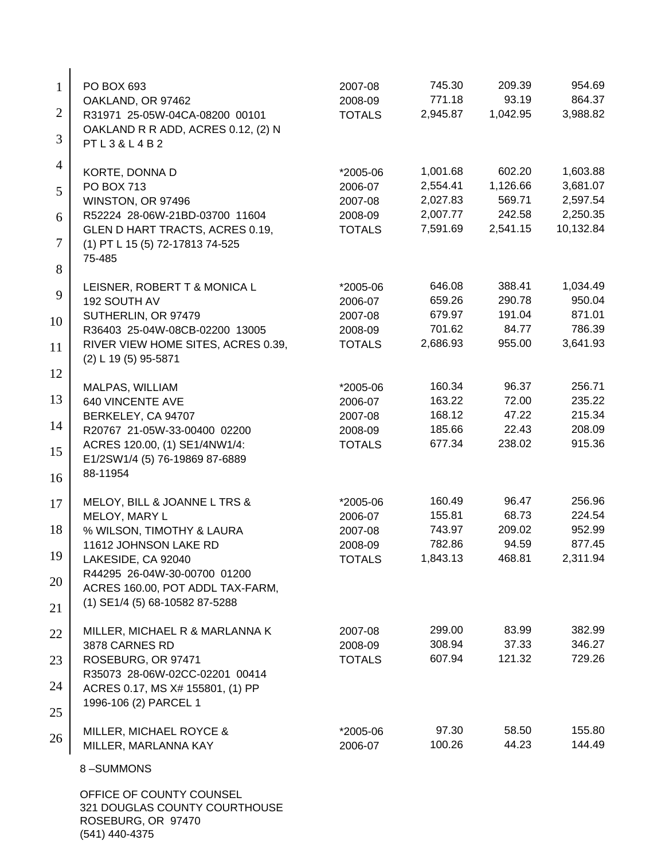| 1              | PO BOX 693                                                           | 2007-08                  | 745.30               | 209.39             | 954.69                |
|----------------|----------------------------------------------------------------------|--------------------------|----------------------|--------------------|-----------------------|
|                | OAKLAND, OR 97462                                                    | 2008-09                  | 771.18               | 93.19              | 864.37                |
| $\overline{2}$ | R31971 25-05W-04CA-08200 00101<br>OAKLAND R R ADD, ACRES 0.12, (2) N | <b>TOTALS</b>            | 2,945.87             | 1,042.95           | 3,988.82              |
| 3              | PTL3&L4B2                                                            |                          |                      |                    |                       |
| $\overline{4}$ | KORTE, DONNA D                                                       | *2005-06                 | 1,001.68             | 602.20             | 1,603.88              |
| 5              | <b>PO BOX 713</b>                                                    | 2006-07                  | 2,554.41             | 1,126.66           | 3,681.07              |
|                | WINSTON, OR 97496                                                    | 2007-08                  | 2,027.83             | 569.71             | 2,597.54              |
| 6              | R52224 28-06W-21BD-03700 11604                                       | 2008-09                  | 2,007.77<br>7,591.69 | 242.58<br>2,541.15 | 2,250.35<br>10,132.84 |
| 7              | GLEN D HART TRACTS, ACRES 0.19,<br>(1) PT L 15 (5) 72-17813 74-525   | <b>TOTALS</b>            |                      |                    |                       |
| 8              | 75-485                                                               |                          |                      |                    |                       |
|                | LEISNER, ROBERT T & MONICA L                                         | *2005-06                 | 646.08               | 388.41             | 1,034.49              |
| 9              | 192 SOUTH AV                                                         | 2006-07                  | 659.26               | 290.78             | 950.04                |
| 10             | SUTHERLIN, OR 97479                                                  | 2007-08                  | 679.97               | 191.04             | 871.01                |
|                | R36403 25-04W-08CB-02200 13005                                       | 2008-09                  | 701.62               | 84.77              | 786.39                |
| 11             | RIVER VIEW HOME SITES, ACRES 0.39,<br>(2) L 19 (5) 95-5871           | <b>TOTALS</b>            | 2,686.93             | 955.00             | 3,641.93              |
| 12             |                                                                      |                          | 160.34               | 96.37              | 256.71                |
| 13             | MALPAS, WILLIAM<br><b>640 VINCENTE AVE</b>                           | *2005-06<br>2006-07      | 163.22               | 72.00              | 235.22                |
|                | BERKELEY, CA 94707                                                   | 2007-08                  | 168.12               | 47.22              | 215.34                |
| 14             | R20767 21-05W-33-00400 02200                                         | 2008-09                  | 185.66               | 22.43              | 208.09                |
| 15             | ACRES 120.00, (1) SE1/4NW1/4:                                        | <b>TOTALS</b>            | 677.34               | 238.02             | 915.36                |
|                | E1/2SW1/4 (5) 76-19869 87-6889                                       |                          |                      |                    |                       |
| 16             | 88-11954                                                             |                          |                      |                    |                       |
| 17             | MELOY, BILL & JOANNE L TRS &                                         | *2005-06                 | 160.49               | 96.47              | 256.96                |
|                | MELOY, MARY L                                                        | 2006-07                  | 155.81               | 68.73              | 224.54                |
| 18             | % WILSON, TIMOTHY & LAURA                                            | 2007-08                  | 743.97               | 209.02             | 952.99                |
| 19             | 11612 JOHNSON LAKE RD<br>LAKESIDE, CA 92040                          | 2008-09<br><b>TOTALS</b> | 782.86<br>1,843.13   | 94.59<br>468.81    | 877.45<br>2,311.94    |
|                | R44295 26-04W-30-00700 01200                                         |                          |                      |                    |                       |
| 20             | ACRES 160.00, POT ADDL TAX-FARM,<br>(1) SE1/4 (5) 68-10582 87-5288   |                          |                      |                    |                       |
| 21             |                                                                      |                          |                      |                    |                       |
| 22             | MILLER, MICHAEL R & MARLANNA K                                       | 2007-08                  | 299.00               | 83.99              | 382.99                |
| 23             | 3878 CARNES RD<br>ROSEBURG, OR 97471                                 | 2008-09<br><b>TOTALS</b> | 308.94<br>607.94     | 37.33<br>121.32    | 346.27<br>729.26      |
|                | R35073 28-06W-02CC-02201 00414                                       |                          |                      |                    |                       |
| 24             | ACRES 0.17, MS X# 155801, (1) PP                                     |                          |                      |                    |                       |
| 25             | 1996-106 (2) PARCEL 1                                                |                          |                      |                    |                       |
| 26             | MILLER, MICHAEL ROYCE &                                              | *2005-06                 | 97.30                | 58.50              | 155.80                |
|                | MILLER, MARLANNA KAY                                                 | 2006-07                  | 100.26               | 44.23              | 144.49                |
|                | 8-SUMMONS                                                            |                          |                      |                    |                       |
|                | OFFICE OF COUNTY COUNSEL                                             |                          |                      |                    |                       |

321 DOUGLAS COUNTY COURTHOUSE ROSEBURG, OR 97470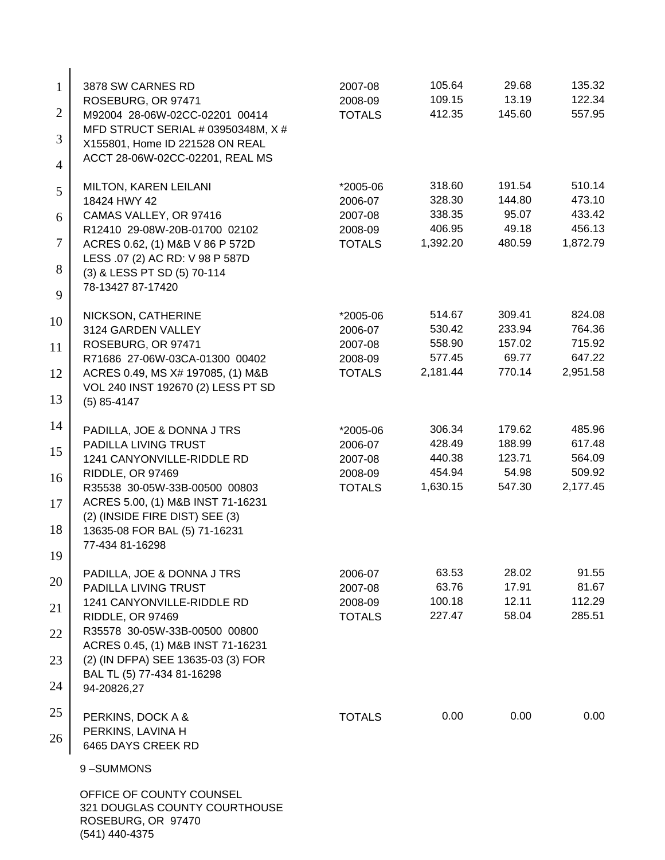| $\mathbf{1}$   | 3878 SW CARNES RD                                                       | 2007-08            | 105.64           | 29.68            | 135.32           |
|----------------|-------------------------------------------------------------------------|--------------------|------------------|------------------|------------------|
|                | ROSEBURG, OR 97471                                                      | 2008-09            | 109.15           | 13.19            | 122.34           |
| $\overline{2}$ | M92004 28-06W-02CC-02201 00414<br>MFD STRUCT SERIAL # 03950348M, X #    | <b>TOTALS</b>      | 412.35           | 145.60           | 557.95           |
| 3              | X155801, Home ID 221528 ON REAL                                         |                    |                  |                  |                  |
| $\overline{4}$ | ACCT 28-06W-02CC-02201, REAL MS                                         |                    |                  |                  |                  |
|                | <b>MILTON, KAREN LEILANI</b>                                            | *2005-06           | 318.60           | 191.54           | 510.14           |
| 5              | 18424 HWY 42                                                            | 2006-07            | 328.30           | 144.80           | 473.10           |
| 6              | CAMAS VALLEY, OR 97416                                                  | 2007-08            | 338.35           | 95.07            | 433.42           |
|                | R12410 29-08W-20B-01700 02102                                           | 2008-09            | 406.95           | 49.18            | 456.13           |
| 7              | ACRES 0.62, (1) M&B V 86 P 572D                                         | <b>TOTALS</b>      | 1,392.20         | 480.59           | 1,872.79         |
| 8              | LESS .07 (2) AC RD: V 98 P 587D<br>(3) & LESS PT SD (5) 70-114          |                    |                  |                  |                  |
|                | 78-13427 87-17420                                                       |                    |                  |                  |                  |
| 9              |                                                                         |                    |                  |                  |                  |
| 10             | NICKSON, CATHERINE                                                      | *2005-06           | 514.67           | 309.41           | 824.08           |
|                | 3124 GARDEN VALLEY<br>ROSEBURG, OR 97471                                | 2006-07<br>2007-08 | 530.42<br>558.90 | 233.94<br>157.02 | 764.36<br>715.92 |
| 11             | R71686 27-06W-03CA-01300 00402                                          | 2008-09            | 577.45           | 69.77            | 647.22           |
| 12             | ACRES 0.49, MS X# 197085, (1) M&B                                       | <b>TOTALS</b>      | 2,181.44         | 770.14           | 2,951.58         |
|                | VOL 240 INST 192670 (2) LESS PT SD                                      |                    |                  |                  |                  |
| 13             | $(5)$ 85-4147                                                           |                    |                  |                  |                  |
| 14             | PADILLA, JOE & DONNA J TRS                                              | *2005-06           | 306.34           | 179.62           | 485.96           |
|                | PADILLA LIVING TRUST                                                    | 2006-07            | 428.49           | 188.99           | 617.48           |
| 15             | 1241 CANYONVILLE-RIDDLE RD                                              | 2007-08            | 440.38           | 123.71           | 564.09           |
| 16             | RIDDLE, OR 97469                                                        | 2008-09            | 454.94           | 54.98            | 509.92           |
|                | R35538 30-05W-33B-00500 00803                                           | <b>TOTALS</b>      | 1,630.15         | 547.30           | 2,177.45         |
| 17             | ACRES 5.00, (1) M&B INST 71-16231<br>(2) (INSIDE FIRE DIST) SEE (3)     |                    |                  |                  |                  |
| 18             | 13635-08 FOR BAL (5) 71-16231                                           |                    |                  |                  |                  |
|                | 77-434 81-16298                                                         |                    |                  |                  |                  |
| 19             |                                                                         |                    | 63.53            | 28.02            | 91.55            |
| 20             | PADILLA, JOE & DONNA J TRS<br>PADILLA LIVING TRUST                      | 2006-07<br>2007-08 | 63.76            | 17.91            | 81.67            |
| 21             | 1241 CANYONVILLE-RIDDLE RD                                              | 2008-09            | 100.18           | 12.11            | 112.29           |
|                | RIDDLE, OR 97469                                                        | <b>TOTALS</b>      | 227.47           | 58.04            | 285.51           |
| 22             | R35578 30-05W-33B-00500 00800                                           |                    |                  |                  |                  |
| 23             | ACRES 0.45, (1) M&B INST 71-16231<br>(2) (IN DFPA) SEE 13635-03 (3) FOR |                    |                  |                  |                  |
|                | BAL TL (5) 77-434 81-16298                                              |                    |                  |                  |                  |
| 24             | 94-20826,27                                                             |                    |                  |                  |                  |
| 25             |                                                                         |                    |                  |                  |                  |
|                | PERKINS, DOCK A &<br>PERKINS, LAVINA H                                  | <b>TOTALS</b>      | 0.00             | 0.00             | 0.00             |
| 26             | 6465 DAYS CREEK RD                                                      |                    |                  |                  |                  |
|                |                                                                         |                    |                  |                  |                  |
|                | 9-SUMMONS                                                               |                    |                  |                  |                  |
|                | OFFICE OF COUNTY COUNSEL                                                |                    |                  |                  |                  |
|                | 321 DOUGLAS COUNTY COURTHOUSE<br>ROSEBURG, OR 97470                     |                    |                  |                  |                  |
|                |                                                                         |                    |                  |                  |                  |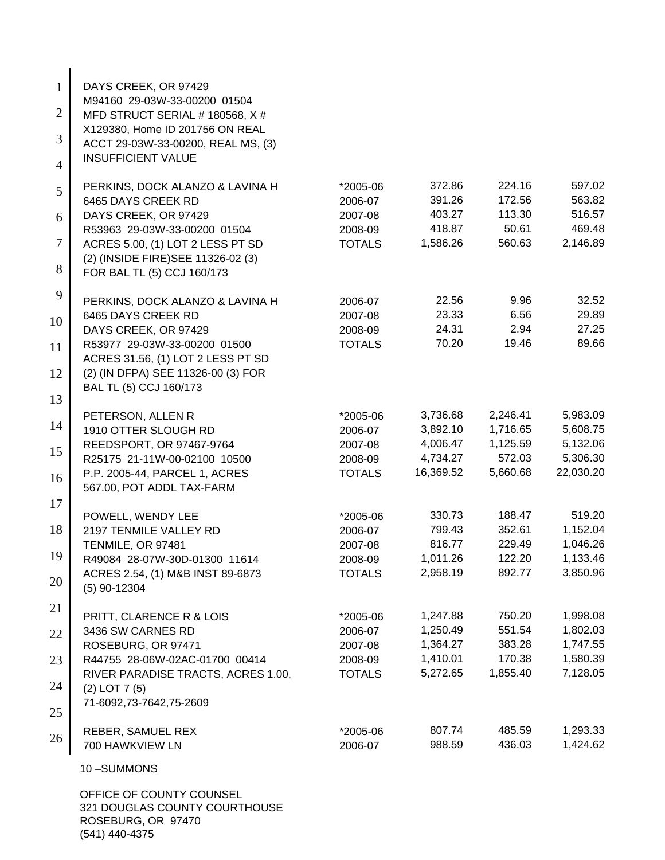| $\mathbf{1}$   | DAYS CREEK, OR 97429                                                    |               |           |          |           |
|----------------|-------------------------------------------------------------------------|---------------|-----------|----------|-----------|
| $\overline{2}$ | M94160 29-03W-33-00200 01504<br>MFD STRUCT SERIAL # 180568, X #         |               |           |          |           |
| 3              | X129380, Home ID 201756 ON REAL                                         |               |           |          |           |
| $\overline{4}$ | ACCT 29-03W-33-00200, REAL MS, (3)<br><b>INSUFFICIENT VALUE</b>         |               |           |          |           |
|                | PERKINS, DOCK ALANZO & LAVINA H                                         | *2005-06      | 372.86    | 224.16   | 597.02    |
| 5              | 6465 DAYS CREEK RD                                                      | 2006-07       | 391.26    | 172.56   | 563.82    |
| 6              | DAYS CREEK, OR 97429                                                    | 2007-08       | 403.27    | 113.30   | 516.57    |
|                | R53963 29-03W-33-00200 01504                                            | 2008-09       | 418.87    | 50.61    | 469.48    |
| $\tau$         | ACRES 5.00, (1) LOT 2 LESS PT SD<br>(2) (INSIDE FIRE) SEE 11326-02 (3)  | <b>TOTALS</b> | 1,586.26  | 560.63   | 2,146.89  |
| 8              | FOR BAL TL (5) CCJ 160/173                                              |               |           |          |           |
| 9              | PERKINS, DOCK ALANZO & LAVINA H                                         | 2006-07       | 22.56     | 9.96     | 32.52     |
| 10             | 6465 DAYS CREEK RD                                                      | 2007-08       | 23.33     | 6.56     | 29.89     |
|                | DAYS CREEK, OR 97429                                                    | 2008-09       | 24.31     | 2.94     | 27.25     |
| 11             | R53977 29-03W-33-00200 01500                                            | <b>TOTALS</b> | 70.20     | 19.46    | 89.66     |
| 12             | ACRES 31.56, (1) LOT 2 LESS PT SD<br>(2) (IN DFPA) SEE 11326-00 (3) FOR |               |           |          |           |
| 13             | BAL TL (5) CCJ 160/173                                                  |               |           |          |           |
|                | PETERSON, ALLEN R                                                       | *2005-06      | 3,736.68  | 2,246.41 | 5,983.09  |
| 14             | 1910 OTTER SLOUGH RD                                                    | 2006-07       | 3,892.10  | 1,716.65 | 5,608.75  |
| 15             | REEDSPORT, OR 97467-9764                                                | 2007-08       | 4,006.47  | 1,125.59 | 5,132.06  |
|                | R25175 21-11W-00-02100 10500                                            | 2008-09       | 4,734.27  | 572.03   | 5,306.30  |
| 16             | P.P. 2005-44, PARCEL 1, ACRES<br>567.00, POT ADDL TAX-FARM              | <b>TOTALS</b> | 16,369.52 | 5,660.68 | 22,030.20 |
| 17             |                                                                         | *2005-06      | 330.73    | 188.47   | 519.20    |
| 18             | POWELL, WENDY LEE<br>2197 TENMILE VALLEY RD                             | 2006-07       | 799.43    | 352.61   | 1,152.04  |
|                | TENMILE, OR 97481                                                       | 2007-08       | 816.77    | 229.49   | 1,046.26  |
| 19             | R49084 28-07W-30D-01300 11614                                           | 2008-09       | 1,011.26  | 122.20   | 1,133.46  |
| 20             | ACRES 2.54, (1) M&B INST 89-6873<br>$(5)$ 90-12304                      | <b>TOTALS</b> | 2,958.19  | 892.77   | 3,850.96  |
| 21             | PRITT, CLARENCE R & LOIS                                                | *2005-06      | 1,247.88  | 750.20   | 1,998.08  |
| 22             | 3436 SW CARNES RD                                                       | 2006-07       | 1,250.49  | 551.54   | 1,802.03  |
|                | ROSEBURG, OR 97471                                                      | 2007-08       | 1,364.27  | 383.28   | 1,747.55  |
| 23             | R44755 28-06W-02AC-01700 00414                                          | 2008-09       | 1,410.01  | 170.38   | 1,580.39  |
| 24             | RIVER PARADISE TRACTS, ACRES 1.00,                                      | <b>TOTALS</b> | 5,272.65  | 1,855.40 | 7,128.05  |
|                | $(2)$ LOT 7 $(5)$<br>71-6092,73-7642,75-2609                            |               |           |          |           |
| 25             |                                                                         |               |           |          |           |
| 26             | REBER, SAMUEL REX                                                       | *2005-06      | 807.74    | 485.59   | 1,293.33  |
|                | 700 HAWKVIEW LN                                                         | 2006-07       | 988.59    | 436.03   | 1,424.62  |
|                | 10-SUMMONS                                                              |               |           |          |           |
|                | OFFICE OF COUNTY COUNSEL<br>321 DOUGLAS COUNTY COURTHOUSE               |               |           |          |           |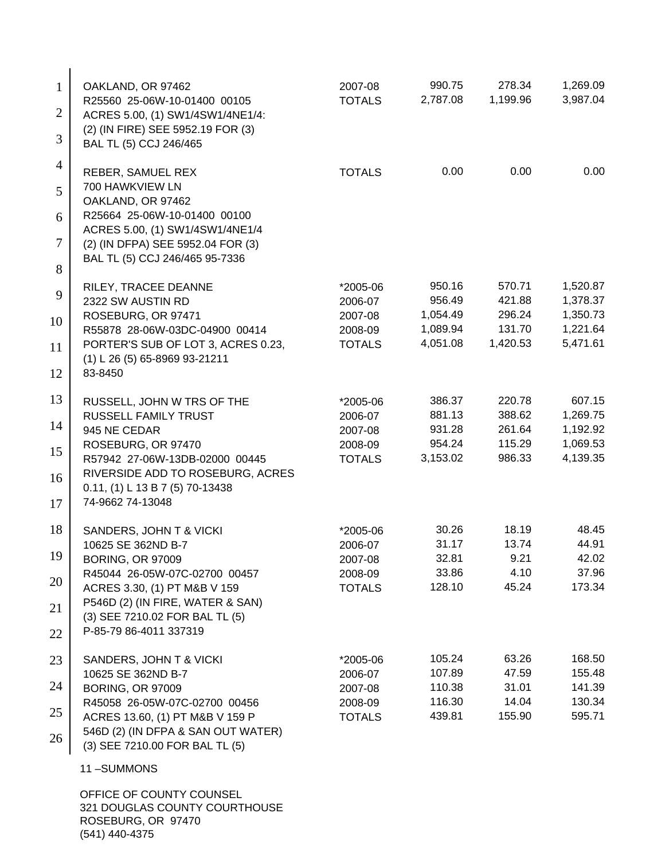| $\mathbf{1}$   | OAKLAND, OR 97462                                                     | 2007-08                  | 990.75               | 278.34             | 1,269.09             |
|----------------|-----------------------------------------------------------------------|--------------------------|----------------------|--------------------|----------------------|
| $\overline{2}$ | R25560 25-06W-10-01400 00105<br>ACRES 5.00, (1) SW1/4SW1/4NE1/4:      | <b>TOTALS</b>            | 2,787.08             | 1,199.96           | 3,987.04             |
| 3              | (2) (IN FIRE) SEE 5952.19 FOR (3)<br>BAL TL (5) CCJ 246/465           |                          |                      |                    |                      |
| 4              | REBER, SAMUEL REX<br>700 HAWKVIEW LN                                  | <b>TOTALS</b>            | 0.00                 | 0.00               | 0.00                 |
| 5              | OAKLAND, OR 97462                                                     |                          |                      |                    |                      |
| 6              | R25664 25-06W-10-01400 00100<br>ACRES 5.00, (1) SW1/4SW1/4NE1/4       |                          |                      |                    |                      |
| 7              | (2) (IN DFPA) SEE 5952.04 FOR (3)                                     |                          |                      |                    |                      |
| 8              | BAL TL (5) CCJ 246/465 95-7336                                        |                          |                      |                    |                      |
| 9              | RILEY, TRACEE DEANNE<br>2322 SW AUSTIN RD                             | *2005-06<br>2006-07      | 950.16<br>956.49     | 570.71<br>421.88   | 1,520.87<br>1,378.37 |
| 10             | ROSEBURG, OR 97471                                                    | 2007-08                  | 1,054.49             | 296.24             | 1,350.73             |
| 11             | R55878 28-06W-03DC-04900 00414<br>PORTER'S SUB OF LOT 3, ACRES 0.23,  | 2008-09<br><b>TOTALS</b> | 1,089.94<br>4,051.08 | 131.70<br>1,420.53 | 1,221.64<br>5,471.61 |
| 12             | (1) L 26 (5) 65-8969 93-21211<br>83-8450                              |                          |                      |                    |                      |
| 13             | RUSSELL, JOHN W TRS OF THE                                            | *2005-06                 | 386.37               | 220.78             | 607.15               |
|                | RUSSELL FAMILY TRUST                                                  | 2006-07                  | 881.13               | 388.62             | 1,269.75             |
| 14             | 945 NE CEDAR<br>ROSEBURG, OR 97470                                    | 2007-08<br>2008-09       | 931.28<br>954.24     | 261.64<br>115.29   | 1,192.92<br>1,069.53 |
| 15             | R57942 27-06W-13DB-02000 00445                                        | <b>TOTALS</b>            | 3,153.02             | 986.33             | 4,139.35             |
| 16             | RIVERSIDE ADD TO ROSEBURG, ACRES<br>0.11, (1) L 13 B 7 (5) 70-13438   |                          |                      |                    |                      |
| 17             | 74-9662 74-13048                                                      |                          |                      |                    |                      |
| 18             | SANDERS, JOHN T & VICKI                                               | *2005-06                 | 30.26                | 18.19              | 48.45                |
| 19             | 10625 SE 362ND B-7<br><b>BORING, OR 97009</b>                         | 2006-07<br>2007-08       | 31.17<br>32.81       | 13.74<br>9.21      | 44.91<br>42.02       |
| 20             | R45044 26-05W-07C-02700 00457                                         | 2008-09                  | 33.86                | 4.10               | 37.96                |
|                | ACRES 3.30, (1) PT M&B V 159<br>P546D (2) (IN FIRE, WATER & SAN)      | <b>TOTALS</b>            | 128.10               | 45.24              | 173.34               |
| 21             | (3) SEE 7210.02 FOR BAL TL (5)                                        |                          |                      |                    |                      |
| 22             | P-85-79 86-4011 337319                                                |                          |                      |                    |                      |
| 23             | SANDERS, JOHN T & VICKI<br>10625 SE 362ND B-7                         | *2005-06<br>2006-07      | 105.24<br>107.89     | 63.26<br>47.59     | 168.50<br>155.48     |
| 24             | <b>BORING, OR 97009</b>                                               | 2007-08                  | 110.38               | 31.01              | 141.39               |
| 25             | R45058 26-05W-07C-02700 00456                                         | 2008-09                  | 116.30               | 14.04              | 130.34               |
|                | ACRES 13.60, (1) PT M&B V 159 P<br>546D (2) (IN DFPA & SAN OUT WATER) | <b>TOTALS</b>            | 439.81               | 155.90             | 595.71               |
| 26             | (3) SEE 7210.00 FOR BAL TL (5)                                        |                          |                      |                    |                      |
|                | 11-SUMMONS                                                            |                          |                      |                    |                      |
|                | OFFICE OF COUNTY COUNSEL<br>321 DOUGLAS COUNTY COURTHOUSE             |                          |                      |                    |                      |
|                | ROSEBURG, OR 97470                                                    |                          |                      |                    |                      |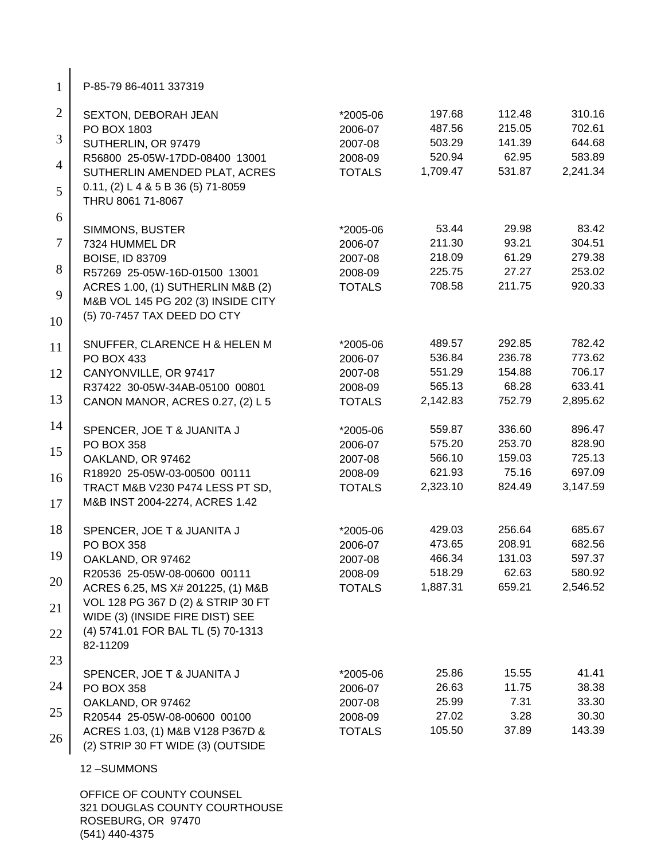1 P-85-79 86-4011 337319

| $\overline{2}$ | SEXTON, DEBORAH JEAN                                                            | *2005-06      | 197.68             | 112.48           | 310.16           |
|----------------|---------------------------------------------------------------------------------|---------------|--------------------|------------------|------------------|
| 3              | PO BOX 1803                                                                     | 2006-07       | 487.56             | 215.05<br>141.39 | 702.61           |
|                | SUTHERLIN, OR 97479                                                             | 2007-08       | 503.29             | 62.95            | 644.68<br>583.89 |
| $\overline{4}$ | R56800 25-05W-17DD-08400 13001                                                  | 2008-09       | 520.94<br>1,709.47 | 531.87           | 2,241.34         |
|                | SUTHERLIN AMENDED PLAT, ACRES                                                   | <b>TOTALS</b> |                    |                  |                  |
| 5              | $0.11, (2) L485B36(5) 71-8059$<br>THRU 8061 71-8067                             |               |                    |                  |                  |
| 6              |                                                                                 |               |                    |                  |                  |
|                | SIMMONS, BUSTER                                                                 | *2005-06      | 53.44              | 29.98            | 83.42            |
| $\overline{7}$ | 7324 HUMMEL DR                                                                  | 2006-07       | 211.30             | 93.21            | 304.51           |
| 8              | <b>BOISE, ID 83709</b>                                                          | 2007-08       | 218.09             | 61.29<br>27.27   | 279.38<br>253.02 |
|                | R57269 25-05W-16D-01500 13001                                                   | 2008-09       | 225.75<br>708.58   | 211.75           | 920.33           |
| 9              | ACRES 1.00, (1) SUTHERLIN M&B (2)                                               | <b>TOTALS</b> |                    |                  |                  |
|                | M&B VOL 145 PG 202 (3) INSIDE CITY                                              |               |                    |                  |                  |
| 10             | (5) 70-7457 TAX DEED DO CTY                                                     |               |                    |                  |                  |
| 11             | SNUFFER, CLARENCE H & HELEN M                                                   | *2005-06      | 489.57             | 292.85           | 782.42           |
|                | PO BOX 433                                                                      | 2006-07       | 536.84             | 236.78           | 773.62           |
| 12             | CANYONVILLE, OR 97417                                                           | 2007-08       | 551.29             | 154.88           | 706.17           |
|                | R37422 30-05W-34AB-05100 00801                                                  | 2008-09       | 565.13             | 68.28            | 633.41           |
| 13             | CANON MANOR, ACRES 0.27, (2) L 5                                                | <b>TOTALS</b> | 2,142.83           | 752.79           | 2,895.62         |
| 14             | SPENCER, JOE T & JUANITA J                                                      | *2005-06      | 559.87             | 336.60           | 896.47           |
|                | <b>PO BOX 358</b>                                                               | 2006-07       | 575.20             | 253.70           | 828.90           |
| 15             | OAKLAND, OR 97462                                                               | 2007-08       | 566.10             | 159.03           | 725.13           |
| 16             | R18920 25-05W-03-00500 00111                                                    | 2008-09       | 621.93             | 75.16            | 697.09           |
|                | TRACT M&B V230 P474 LESS PT SD,                                                 | <b>TOTALS</b> | 2,323.10           | 824.49           | 3,147.59         |
| 17             | M&B INST 2004-2274, ACRES 1.42                                                  |               |                    |                  |                  |
| 18             | SPENCER, JOE T & JUANITA J                                                      | *2005-06      | 429.03             | 256.64           | 685.67           |
|                | PO BOX 358                                                                      | 2006-07       | 473.65             | 208.91           | 682.56           |
| 19             | OAKLAND, OR 97462                                                               | 2007-08       | 466.34             | 131.03           | 597.37           |
| 20             | R20536 25-05W-08-00600 00111                                                    | 2008-09       | 518.29             | 62.63            | 580.92           |
|                | ACRES 6.25, MS X# 201225, (1) M&B<br>VOL 128 PG 367 D (2) & STRIP 30 FT         | <b>TOTALS</b> | 1,887.31           | 659.21           | 2,546.52         |
| 21             | WIDE (3) (INSIDE FIRE DIST) SEE                                                 |               |                    |                  |                  |
| 22             | (4) 5741.01 FOR BAL TL (5) 70-1313<br>82-11209                                  |               |                    |                  |                  |
| 23             |                                                                                 |               |                    |                  |                  |
|                | SPENCER, JOE T & JUANITA J                                                      | *2005-06      | 25.86              | 15.55            | 41.41            |
| 24             | <b>PO BOX 358</b>                                                               | 2006-07       | 26.63              | 11.75            | 38.38            |
|                | OAKLAND, OR 97462                                                               | 2007-08       | 25.99              | 7.31             | 33.30            |
| 25             | R20544 25-05W-08-00600 00100                                                    | 2008-09       | 27.02              | 3.28             | 30.30            |
| 26             | ACRES 1.03, (1) M&B V128 P367D &<br>(2) STRIP 30 FT WIDE (3) (OUTSIDE           | <b>TOTALS</b> | 105.50             | 37.89            | 143.39           |
|                | 12-SUMMONS                                                                      |               |                    |                  |                  |
|                | OFFICE OF COUNTY COUNSEL<br>321 DOUGLAS COUNTY COURTHOUSE<br>ROSEBURG, OR 97470 |               |                    |                  |                  |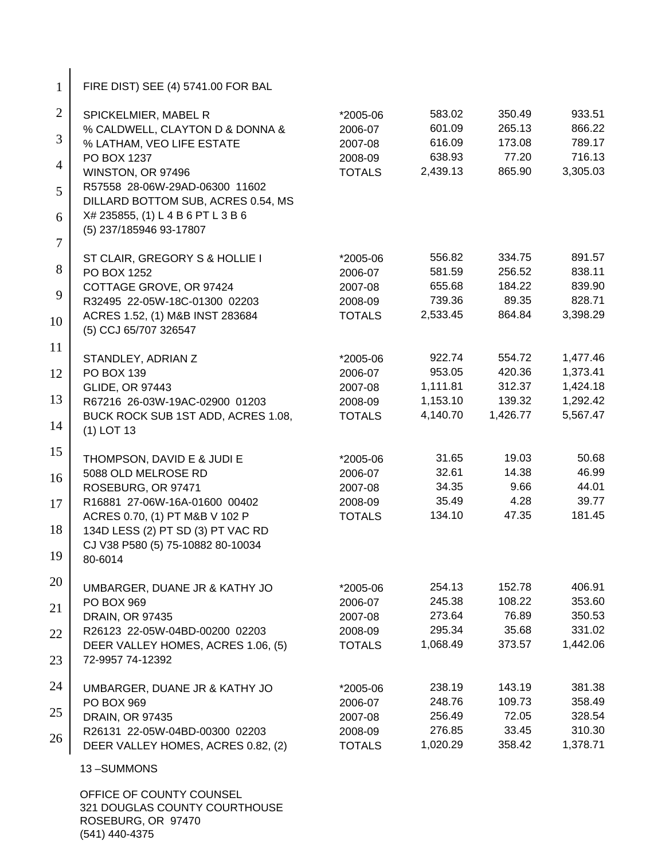| $\mathbf{1}$   | FIRE DIST) SEE (4) 5741.00 FOR BAL                                     |                     |                  |                  |                      |
|----------------|------------------------------------------------------------------------|---------------------|------------------|------------------|----------------------|
| $\overline{2}$ | SPICKELMIER, MABEL R                                                   | *2005-06            | 583.02           | 350.49           | 933.51               |
|                | % CALDWELL, CLAYTON D & DONNA &                                        | 2006-07             | 601.09           | 265.13           | 866.22               |
| 3              | % LATHAM, VEO LIFE ESTATE                                              | 2007-08             | 616.09           | 173.08           | 789.17               |
| $\overline{4}$ | PO BOX 1237                                                            | 2008-09             | 638.93           | 77.20            | 716.13               |
|                | WINSTON, OR 97496<br>R57558 28-06W-29AD-06300 11602                    | <b>TOTALS</b>       | 2,439.13         | 865.90           | 3,305.03             |
| 5              | DILLARD BOTTOM SUB, ACRES 0.54, MS                                     |                     |                  |                  |                      |
| 6              | X# 235855, (1) L 4 B 6 PT L 3 B 6                                      |                     |                  |                  |                      |
|                | (5) 237/185946 93-17807                                                |                     |                  |                  |                      |
| $\tau$         |                                                                        |                     |                  |                  |                      |
| 8              | ST CLAIR, GREGORY S & HOLLIE I<br>PO BOX 1252                          | *2005-06<br>2006-07 | 556.82<br>581.59 | 334.75<br>256.52 | 891.57<br>838.11     |
|                | COTTAGE GROVE, OR 97424                                                | 2007-08             | 655.68           | 184.22           | 839.90               |
| 9              | R32495 22-05W-18C-01300 02203                                          | 2008-09             | 739.36           | 89.35            | 828.71               |
| 10             | ACRES 1.52, (1) M&B INST 283684                                        | <b>TOTALS</b>       | 2,533.45         | 864.84           | 3,398.29             |
|                | (5) CCJ 65/707 326547                                                  |                     |                  |                  |                      |
| 11             |                                                                        |                     |                  |                  |                      |
| 12             | STANDLEY, ADRIAN Z<br>PO BOX 139                                       | *2005-06<br>2006-07 | 922.74<br>953.05 | 554.72<br>420.36 | 1,477.46<br>1,373.41 |
|                | <b>GLIDE, OR 97443</b>                                                 | 2007-08             | 1,111.81         | 312.37           | 1,424.18             |
| 13             | R67216 26-03W-19AC-02900 01203                                         | 2008-09             | 1,153.10         | 139.32           | 1,292.42             |
|                | BUCK ROCK SUB 1ST ADD, ACRES 1.08,                                     | <b>TOTALS</b>       | 4,140.70         | 1,426.77         | 5,567.47             |
| 14             | $(1)$ LOT 13                                                           |                     |                  |                  |                      |
| 15             | THOMPSON, DAVID E & JUDI E                                             | *2005-06            | 31.65            | 19.03            | 50.68                |
|                | 5088 OLD MELROSE RD                                                    | 2006-07             | 32.61            | 14.38            | 46.99                |
| 16             | ROSEBURG, OR 97471                                                     | 2007-08             | 34.35            | 9.66             | 44.01                |
| 17             | R16881 27-06W-16A-01600 00402                                          | 2008-09             | 35.49            | 4.28             | 39.77                |
|                | ACRES 0.70, (1) PT M&B V 102 P                                         | <b>TOTALS</b>       | 134.10           | 47.35            | 181.45               |
| 18             | 134D LESS (2) PT SD (3) PT VAC RD<br>CJ V38 P580 (5) 75-10882 80-10034 |                     |                  |                  |                      |
| 19             | 80-6014                                                                |                     |                  |                  |                      |
|                |                                                                        |                     |                  |                  |                      |
| 20             | UMBARGER, DUANE JR & KATHY JO                                          | *2005-06            | 254.13           | 152.78           | 406.91               |
| 21             | <b>PO BOX 969</b>                                                      | 2006-07             | 245.38           | 108.22           | 353.60               |
|                | DRAIN, OR 97435<br>R26123 22-05W-04BD-00200 02203                      | 2007-08<br>2008-09  | 273.64<br>295.34 | 76.89<br>35.68   | 350.53<br>331.02     |
| 22             | DEER VALLEY HOMES, ACRES 1.06, (5)                                     | <b>TOTALS</b>       | 1,068.49         | 373.57           | 1,442.06             |
| 23             | 72-9957 74-12392                                                       |                     |                  |                  |                      |
|                |                                                                        |                     |                  |                  |                      |
| 24             | UMBARGER, DUANE JR & KATHY JO                                          | *2005-06            | 238.19           | 143.19           | 381.38               |
| 25             | PO BOX 969<br><b>DRAIN, OR 97435</b>                                   | 2006-07<br>2007-08  | 248.76<br>256.49 | 109.73<br>72.05  | 358.49<br>328.54     |
|                | R26131 22-05W-04BD-00300 02203                                         | 2008-09             | 276.85           | 33.45            | 310.30               |
| 26             | DEER VALLEY HOMES, ACRES 0.82, (2)                                     | <b>TOTALS</b>       | 1,020.29         | 358.42           | 1,378.71             |
|                | 13-SUMMONS                                                             |                     |                  |                  |                      |
|                | OFFICE OF COUNTY COUNSEL                                               |                     |                  |                  |                      |
|                |                                                                        |                     |                  |                  |                      |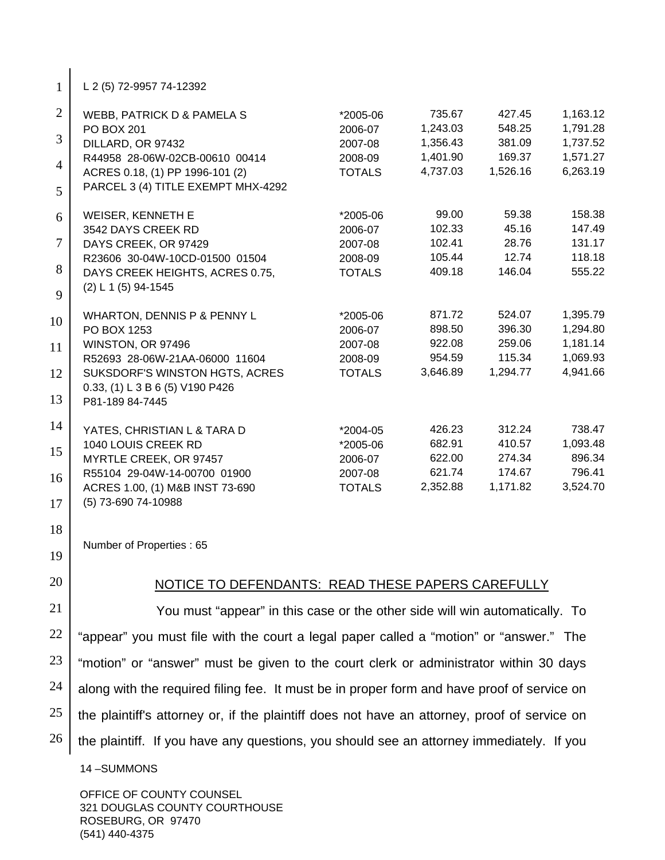1 L 2 (5) 72-9957 74-12392

| $\overline{2}$ | WEBB, PATRICK D & PAMELA S         | *2005-06      | 735.67   | 427.45   | 1,163.12 |
|----------------|------------------------------------|---------------|----------|----------|----------|
|                | <b>PO BOX 201</b>                  | 2006-07       | 1,243.03 | 548.25   | 1,791.28 |
| $\overline{3}$ | DILLARD, OR 97432                  | 2007-08       | 1,356.43 | 381.09   | 1,737.52 |
|                | R44958 28-06W-02CB-00610 00414     | 2008-09       | 1,401.90 | 169.37   | 1,571.27 |
| $\overline{4}$ | ACRES 0.18, (1) PP 1996-101 (2)    | <b>TOTALS</b> | 4,737.03 | 1,526.16 | 6,263.19 |
| 5              | PARCEL 3 (4) TITLE EXEMPT MHX-4292 |               |          |          |          |
| 6              | WEISER, KENNETH E                  | *2005-06      | 99.00    | 59.38    | 158.38   |
|                | 3542 DAYS CREEK RD                 | 2006-07       | 102.33   | 45.16    | 147.49   |
| $\overline{7}$ | DAYS CREEK, OR 97429               | 2007-08       | 102.41   | 28.76    | 131.17   |
|                | R23606 30-04W-10CD-01500 01504     | 2008-09       | 105.44   | 12.74    | 118.18   |
| 8              | DAYS CREEK HEIGHTS, ACRES 0.75,    | <b>TOTALS</b> | 409.18   | 146.04   | 555.22   |
| 9              | $(2) L 1 (5) 94-1545$              |               |          |          |          |
| 10             | WHARTON, DENNIS P & PENNY L        | *2005-06      | 871.72   | 524.07   | 1,395.79 |
|                | PO BOX 1253                        | 2006-07       | 898.50   | 396.30   | 1,294.80 |
| 11             | WINSTON, OR 97496                  | 2007-08       | 922.08   | 259.06   | 1,181.14 |
|                | R52693 28-06W-21AA-06000 11604     | 2008-09       | 954.59   | 115.34   | 1,069.93 |
| 12             | SUKSDORF'S WINSTON HGTS, ACRES     | <b>TOTALS</b> | 3,646.89 | 1,294.77 | 4,941.66 |
|                | 0.33, (1) L 3 B 6 (5) V190 P426    |               |          |          |          |
| 13             | P81-189 84-7445                    |               |          |          |          |
| 14             | YATES, CHRISTIAN L & TARA D        | *2004-05      | 426.23   | 312.24   | 738.47   |
|                | 1040 LOUIS CREEK RD                | $*2005-06$    | 682.91   | 410.57   | 1,093.48 |
| 15             | MYRTLE CREEK, OR 97457             | 2006-07       | 622.00   | 274.34   | 896.34   |
|                | R55104 29-04W-14-00700 01900       | 2007-08       | 621.74   | 174.67   | 796.41   |
| 16             | ACRES 1.00, (1) M&B INST 73-690    | <b>TOTALS</b> | 2,352.88 | 1,171.82 | 3,524.70 |
| 17             | (5) 73-690 74-10988                |               |          |          |          |

18

Number of Properties : 65

19

20

## NOTICE TO DEFENDANTS: READ THESE PAPERS CAREFULLY

21 22 23 24 25 26 You must "appear" in this case or the other side will win automatically. To "appear" you must file with the court a legal paper called a "motion" or "answer." The "motion" or "answer" must be given to the court clerk or administrator within 30 days along with the required filing fee. It must be in proper form and have proof of service on the plaintiff's attorney or, if the plaintiff does not have an attorney, proof of service on the plaintiff. If you have any questions, you should see an attorney immediately. If you

14 –SUMMONS